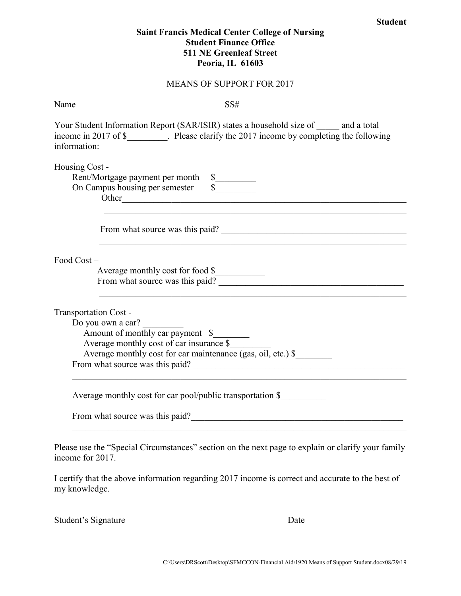## **Saint Francis Medical Center College of Nursing Student Finance Office 511 NE Greenleaf Street Peoria, IL 61603**

## MEANS OF SUPPORT FOR 2017

| Name | SS#<br><u> 1989 - Johann Barbara, martxa alemaniar a</u>                                                                                                                                                                      |
|------|-------------------------------------------------------------------------------------------------------------------------------------------------------------------------------------------------------------------------------|
|      | Your Student Information Report (SAR/ISIR) states a household size of and a total<br>income in 2017 of \$_________. Please clarify the 2017 income by completing the following<br>information:                                |
|      | Housing Cost -<br>Rent/Mortgage payment per month \$<br>$\frac{1}{\sqrt{2}}$<br>On Campus housing per semester                                                                                                                |
|      | From what source was this paid?<br>and the control of the control of the control of the control of the control of the control of the control of the                                                                           |
|      | Food Cost-<br>Average monthly cost for food \$                                                                                                                                                                                |
|      | Transportation Cost -<br>Do you own a car?<br>Amount of monthly car payment \$<br>Average monthly cost of car insurance \$<br>Average monthly cost for car maintenance (gas, oil, etc.) \$<br>From what source was this paid? |
|      | Average monthly cost for car pool/public transportation \$                                                                                                                                                                    |
|      | From what source was this paid?                                                                                                                                                                                               |
|      | Please use the "Special Circumstances" section on the next page to explain or clarify your family<br>income for 2017.                                                                                                         |

I certify that the above information regarding 2017 income is correct and accurate to the best of my knowledge.

 $\mathcal{L}_\text{max}$  , and the contribution of the contribution of the contribution of the contribution of the contribution of the contribution of the contribution of the contribution of the contribution of the contribution of t

Student's Signature Date